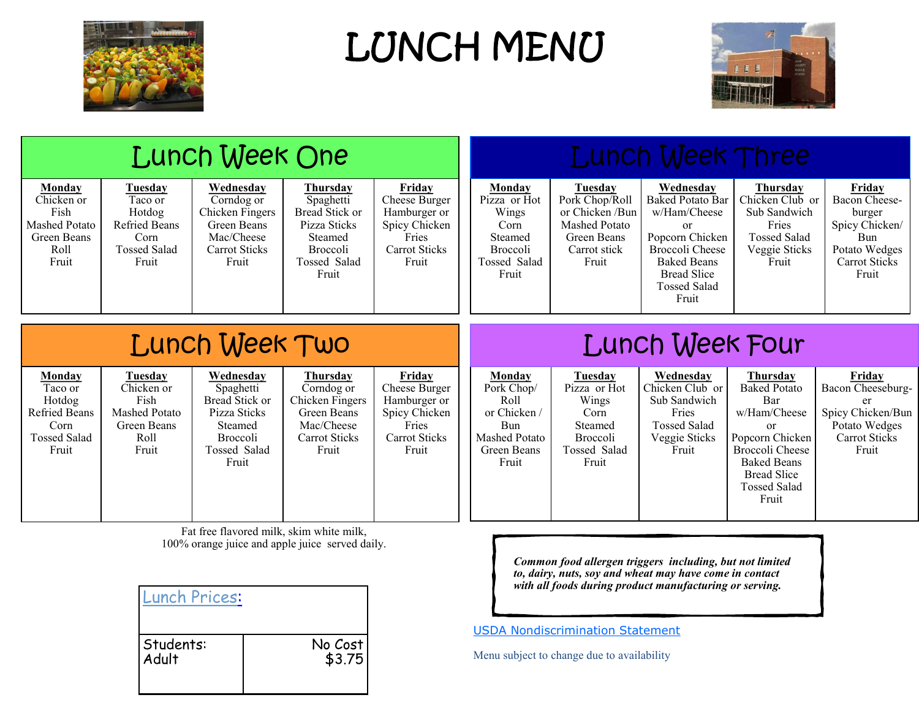

LUNCH MENU



Bread Slice Tossed Salad Fruit

|                |                                                                                                    |                                                                                       | Lunch Week One                                                                                                         |                                                                                                                |                                                                                                    |                                                                                                     |                                                                                                        | <b>Lunch Week Three</b>                                                                                                                                               |                                                                                                                                 |                                                                                                                            |
|----------------|----------------------------------------------------------------------------------------------------|---------------------------------------------------------------------------------------|------------------------------------------------------------------------------------------------------------------------|----------------------------------------------------------------------------------------------------------------|----------------------------------------------------------------------------------------------------|-----------------------------------------------------------------------------------------------------|--------------------------------------------------------------------------------------------------------|-----------------------------------------------------------------------------------------------------------------------------------------------------------------------|---------------------------------------------------------------------------------------------------------------------------------|----------------------------------------------------------------------------------------------------------------------------|
|                | Monday<br>Chicken or<br>Fish<br>Mashed Potato<br>Green Beans<br>Roll<br>Fruit                      | Tuesday<br>Taco or<br>Hotdog<br>Refried Beans<br>Corn<br><b>Tossed Salad</b><br>Fruit | Wednesday<br>Corndog or<br>Chicken Fingers<br>Green Beans<br>Mac/Cheese<br><b>Carrot Sticks</b><br>Fruit               | Thursday<br>Spaghetti<br>Bread Stick or<br>Pizza Sticks<br>Steamed<br><b>Broccoli</b><br>Tossed Salad<br>Fruit | Friday<br>Cheese Burger<br>Hamburger or<br>Spicy Chicken<br>Fries<br><b>Carrot Sticks</b><br>Fruit | Monday<br>Pizza or Hot<br>Wings<br>Corn<br>Steamed<br><b>Broccoli</b><br>Tossed Salad<br>Fruit      | Tuesday<br>Pork Chop/Roll<br>or Chicken /Bun<br>Mashed Potato<br>Green Beans<br>Carrot stick<br>Fruit  | Wednesday<br><b>Baked Potato Bar</b><br>w/Ham/Cheese<br>or<br>Popcorn Chicken<br>Broccoli Cheese<br><b>Baked Beans</b><br><b>Bread Slice</b><br>Tossed Salad<br>Fruit | Thursday<br>Chicken Club or<br>Sub Sandwich<br>Fries<br><b>Tossed Salad</b><br>Veggie Sticks<br>Fruit                           | <b>Friday</b><br>Bacon Cheese-<br>burger<br>Spicy Chicken/<br><b>Bun</b><br>Potato Wedges<br><b>Carrot Sticks</b><br>Fruit |
| Lunch Week Two |                                                                                                    |                                                                                       |                                                                                                                        |                                                                                                                | <b>Lunch Week Four</b>                                                                             |                                                                                                     |                                                                                                        |                                                                                                                                                                       |                                                                                                                                 |                                                                                                                            |
|                | <b>Monday</b><br>Taco or<br>Hotdog<br><b>Refried Beans</b><br>Corn<br><b>Tossed Salad</b><br>Fruit | Tuesday<br>Chicken or<br>Fish<br>Mashed Potato<br>Green Beans<br>Roll<br>Fruit        | <b>Wednesday</b><br>Spaghetti<br>Bread Stick or<br>Pizza Sticks<br>Steamed<br><b>Broccoli</b><br>Tossed Salad<br>Fruit | <u>Thursday</u><br>Corndog or<br>Chicken Fingers<br>Green Beans<br>Mac/Cheese<br>Carrot Sticks<br>Fruit        | Friday<br>Cheese Burger<br>Hamburger or<br>Spicy Chicken<br>Fries<br>Carrot Sticks<br>Fruit        | Monday<br>Pork Chop/<br>Roll<br>or Chicken /<br><b>Bun</b><br>Mashed Potato<br>Green Beans<br>Fruit | <b>Tuesday</b><br>Pizza or Hot<br>Wings<br>Corn<br>Steamed<br><b>Broccoli</b><br>Tossed Salad<br>Fruit | Wednesday<br>Chicken Club or<br>Sub Sandwich<br>Fries<br><b>Tossed Salad</b><br>Veggie Sticks<br>Fruit                                                                | <b>Thursday</b><br><b>Baked Potato</b><br>Bar<br>w/Ham/Cheese<br>or<br>Popcorn Chicken<br>Broccoli Cheese<br><b>Baked Beans</b> | <b>Friday</b><br>Bacon Cheeseburg-<br>er<br>Spicy Chicken/Bun<br>Potato Wedges<br>Carrot Sticks<br>Fruit                   |

Fat free flavored milk, skim white milk, 100% orange juice and apple juice served daily.

| <b>Lunch Prices:</b> |         |
|----------------------|---------|
| Students:            | No Cost |
| Adult                | \$3.75  |

*Common food allergen triggers including, but not limited to, dairy, nuts, soy and wheat may have come in contact with all foods during product manufacturing or serving.*

[USDA Nondiscrimination Statement](http://education.ky.gov/federal/SCN/Pages/USDANondiscriminationStatement.aspx)

Menu subject to change due to availability